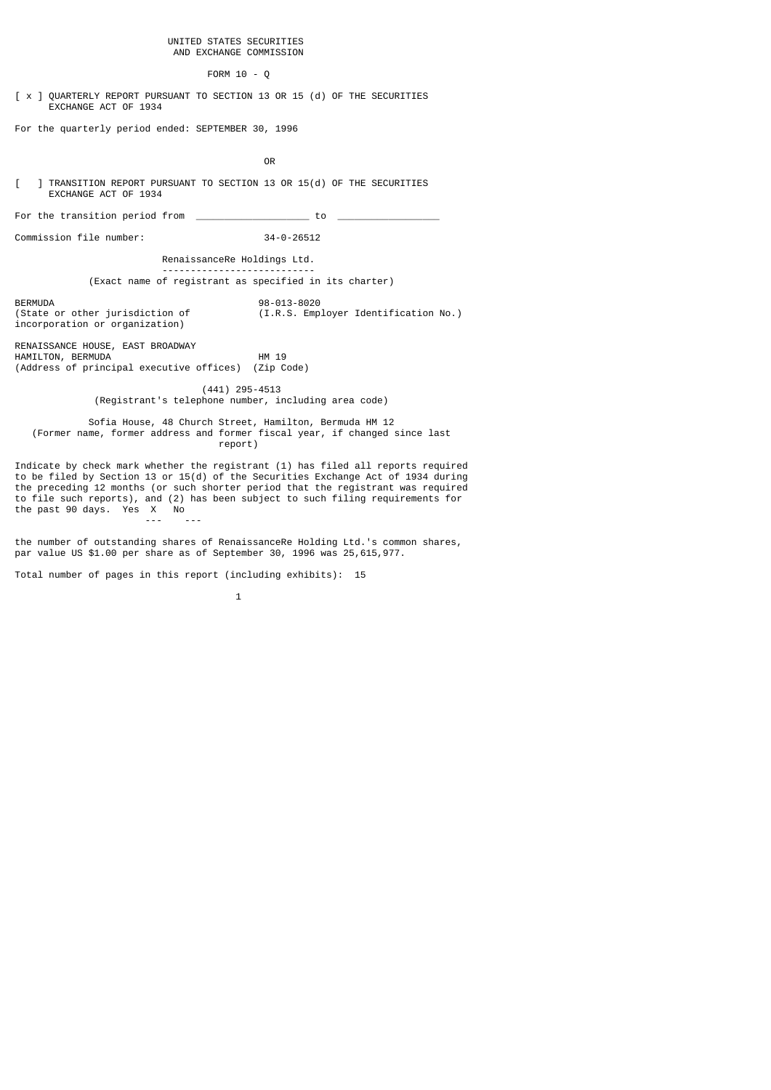#### UNITED STATES SECURITIES AND EXCHANGE COMMISSION

#### FORM 10 - Q

[ x ] QUARTERLY REPORT PURSUANT TO SECTION 13 OR 15 (d) OF THE SECURITIES EXCHANGE ACT OF 1934

For the quarterly period ended: SEPTEMBER 30, 1996

**OR** Service Service Service Service Service Service Service Service Service Service Service Service Service Service Service Service Service Service Service Service Service Service Service Service Service Service Service S

[ ] TRANSITION REPORT PURSUANT TO SECTION 13 OR 15(d) OF THE SECURITIES EXCHANGE ACT OF 1934

For the transition period from  $\overline{\phantom{a} \phantom{a}}$ 

--- ---

Commission file number: 34-0-26512

RenaissanceRe Holdings Ltd.

---------------------------

(Exact name of registrant as specified in its charter)

BERMUDA 98-013-8020 (I.R.S. Employer Identification No.) incorporation or organization)

RENAISSANCE HOUSE, EAST BROADWAY HAMILTON, BERMUDA HM 19 (Address of principal executive offices) (Zip Code)

> (441) 295-4513 (Registrant's telephone number, including area code)

 Sofia House, 48 Church Street, Hamilton, Bermuda HM 12 (Former name, former address and former fiscal year, if changed since last report)

Indicate by check mark whether the registrant (1) has filed all reports required to be filed by Section 13 or 15(d) of the Securities Exchange Act of 1934 during the preceding 12 months (or such shorter period that the registrant was required to file such reports), and (2) has been subject to such filing requirements for the past 90 days. Yes X No

the number of outstanding shares of RenaissanceRe Holding Ltd.'s common shares, par value US \$1.00 per share as of September 30, 1996 was 25,615,977.

Total number of pages in this report (including exhibits): 15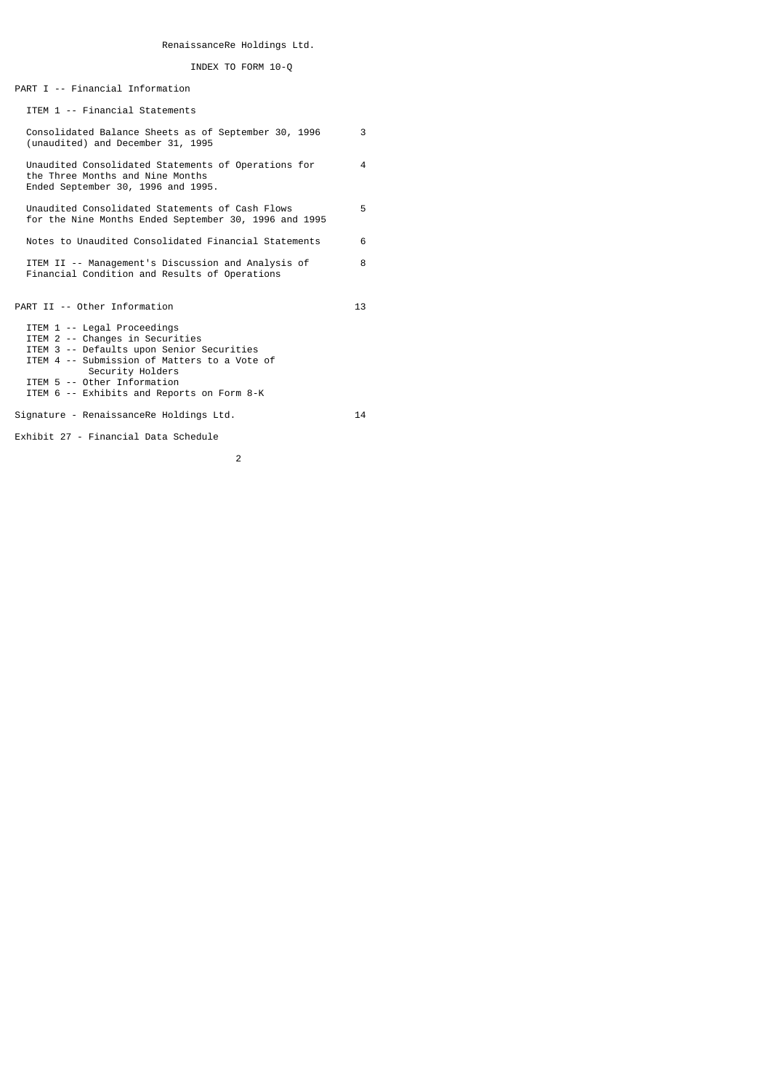# RenaissanceRe Holdings Ltd.

## INDEX TO FORM 10-Q

PART I -- Financial Information

ITEM 1 -- Financial Statements

| Consolidated Balance Sheets as of September 30, 1996<br>(unaudited) and December 31, 1995                                                                                                                                                                    | 3  |
|--------------------------------------------------------------------------------------------------------------------------------------------------------------------------------------------------------------------------------------------------------------|----|
| Unaudited Consolidated Statements of Operations for<br>the Three Months and Nine Months<br>Ended September 30, 1996 and 1995.                                                                                                                                | 4  |
| Unaudited Consolidated Statements of Cash Flows<br>for the Nine Months Ended September 30, 1996 and 1995                                                                                                                                                     | 5  |
| Notes to Unaudited Consolidated Financial Statements                                                                                                                                                                                                         | 6  |
| ITEM II -- Management's Discussion and Analysis of<br>Financial Condition and Results of Operations                                                                                                                                                          | 8  |
| PART II -- Other Information                                                                                                                                                                                                                                 | 13 |
| ITEM 1 -- Legal Proceedings<br>ITEM 2 -- Changes in Securities<br>ITEM 3 -- Defaults upon Senior Securities<br>ITEM 4 -- Submission of Matters to a Vote of<br>Security Holders<br>ITEM 5 -- Other Information<br>ITEM 6 -- Exhibits and Reports on Form 8-K |    |
| Signature - RenaissanceRe Holdings Ltd.                                                                                                                                                                                                                      | 14 |

Exhibit 27 - Financial Data Schedule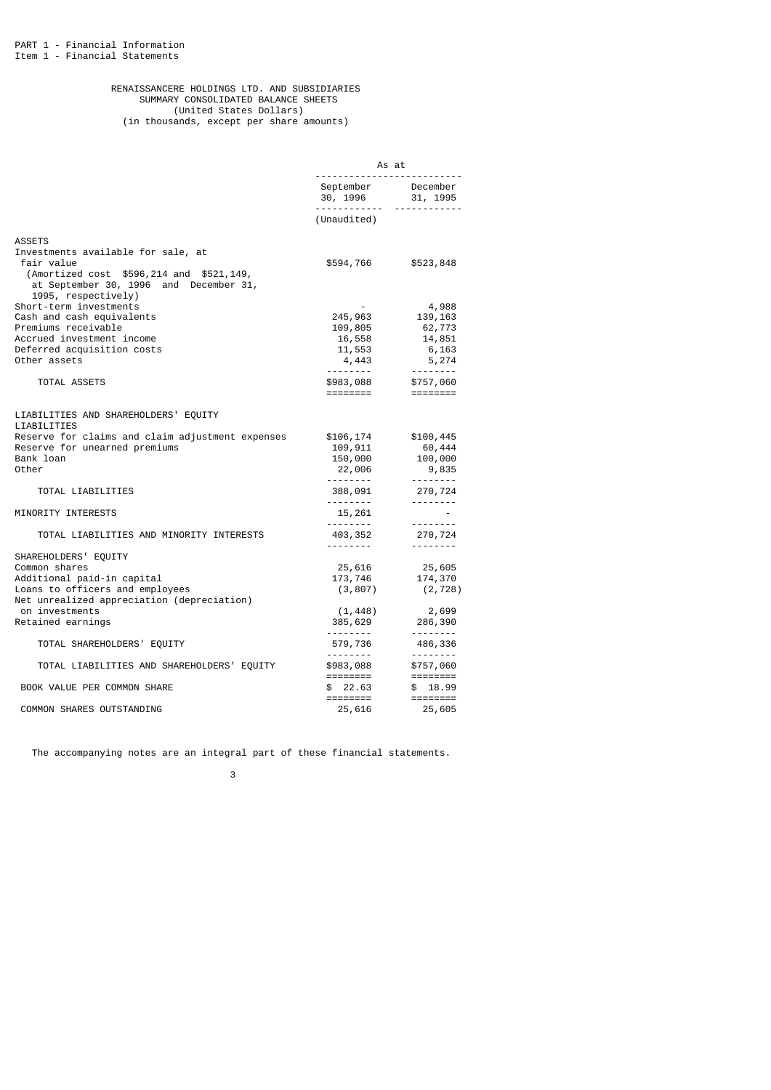#### RENAISSANCERE HOLDINGS LTD. AND SUBSIDIARIES SUMMARY CONSOLIDATED BALANCE SHEETS (United States Dollars) (in thousands, except per share amounts)

|                                                                                                                                                               | As at                                     |                                                                                                                                                                                                                                                                                                                                                                                                                                                                                        |  |
|---------------------------------------------------------------------------------------------------------------------------------------------------------------|-------------------------------------------|----------------------------------------------------------------------------------------------------------------------------------------------------------------------------------------------------------------------------------------------------------------------------------------------------------------------------------------------------------------------------------------------------------------------------------------------------------------------------------------|--|
|                                                                                                                                                               | September December<br>30, 1996 31, 1995   | <u> - - - - - - - - - - -</u>                                                                                                                                                                                                                                                                                                                                                                                                                                                          |  |
|                                                                                                                                                               | (Unaudited)                               |                                                                                                                                                                                                                                                                                                                                                                                                                                                                                        |  |
| <b>ASSETS</b>                                                                                                                                                 |                                           |                                                                                                                                                                                                                                                                                                                                                                                                                                                                                        |  |
| Investments available for sale, at<br>fair value<br>(Amortized cost \$596,214 and \$521,149,<br>at September 30, 1996 and December 31,<br>1995, respectively) | \$594,766                                 | \$523,848                                                                                                                                                                                                                                                                                                                                                                                                                                                                              |  |
| Short-term investments                                                                                                                                        |                                           | 4,988                                                                                                                                                                                                                                                                                                                                                                                                                                                                                  |  |
| Cash and cash equivalents                                                                                                                                     | 245,963                                   | 139,163                                                                                                                                                                                                                                                                                                                                                                                                                                                                                |  |
| Premiums receivable                                                                                                                                           | 109,805                                   | 62,773                                                                                                                                                                                                                                                                                                                                                                                                                                                                                 |  |
| Accrued investment income                                                                                                                                     | 16,558                                    | 14,851                                                                                                                                                                                                                                                                                                                                                                                                                                                                                 |  |
| Deferred acquisition costs                                                                                                                                    | 11,553                                    | 6,163                                                                                                                                                                                                                                                                                                                                                                                                                                                                                  |  |
| Other assets                                                                                                                                                  | 4,443                                     | 5,274                                                                                                                                                                                                                                                                                                                                                                                                                                                                                  |  |
|                                                                                                                                                               |                                           | . <b>.</b>                                                                                                                                                                                                                                                                                                                                                                                                                                                                             |  |
| TOTAL ASSETS                                                                                                                                                  | \$983,088<br>========                     | \$757,060                                                                                                                                                                                                                                                                                                                                                                                                                                                                              |  |
| LIABILITIES AND SHAREHOLDERS' EQUITY<br>LIABILITIES                                                                                                           |                                           |                                                                                                                                                                                                                                                                                                                                                                                                                                                                                        |  |
| Reserve for claims and claim adjustment expenses<br>Reserve for unearned premiums<br>Bank loan<br>Other                                                       | \$106,174<br>109,911<br>150,000<br>22,006 | \$100,445<br>60,444<br>100,000<br>9,835                                                                                                                                                                                                                                                                                                                                                                                                                                                |  |
|                                                                                                                                                               | ---------                                 | $\begin{array}{cccccccccccccc} \multicolumn{2}{c}{} & \multicolumn{2}{c}{} & \multicolumn{2}{c}{} & \multicolumn{2}{c}{} & \multicolumn{2}{c}{} & \multicolumn{2}{c}{} & \multicolumn{2}{c}{} & \multicolumn{2}{c}{} & \multicolumn{2}{c}{} & \multicolumn{2}{c}{} & \multicolumn{2}{c}{} & \multicolumn{2}{c}{} & \multicolumn{2}{c}{} & \multicolumn{2}{c}{} & \multicolumn{2}{c}{} & \multicolumn{2}{c}{} & \multicolumn{2}{c}{} & \multicolumn{2}{c}{} & \multicolumn{2}{c}{} & \$ |  |
| TOTAL LIABILITIES                                                                                                                                             | 388,091                                   | 270,724                                                                                                                                                                                                                                                                                                                                                                                                                                                                                |  |
| MINORITY INTERESTS                                                                                                                                            | 15,261                                    | <u> - - - - - - - -</u><br>$\sim$                                                                                                                                                                                                                                                                                                                                                                                                                                                      |  |
| TOTAL LIABILITIES AND MINORITY INTERESTS                                                                                                                      | 403,352                                   | --------<br>270,724                                                                                                                                                                                                                                                                                                                                                                                                                                                                    |  |
|                                                                                                                                                               | <u>.</u>                                  | --------                                                                                                                                                                                                                                                                                                                                                                                                                                                                               |  |
| SHAREHOLDERS' EQUITY                                                                                                                                          |                                           |                                                                                                                                                                                                                                                                                                                                                                                                                                                                                        |  |
| Common shares                                                                                                                                                 | 25,616                                    | 25,605                                                                                                                                                                                                                                                                                                                                                                                                                                                                                 |  |
| Additional paid-in capital                                                                                                                                    | 173,746                                   | 174,370                                                                                                                                                                                                                                                                                                                                                                                                                                                                                |  |
| Loans to officers and employees                                                                                                                               | (3, 807)                                  | (2, 728)                                                                                                                                                                                                                                                                                                                                                                                                                                                                               |  |
| Net unrealized appreciation (depreciation)                                                                                                                    |                                           |                                                                                                                                                                                                                                                                                                                                                                                                                                                                                        |  |
| on investments                                                                                                                                                | (1, 448)                                  | 2,699                                                                                                                                                                                                                                                                                                                                                                                                                                                                                  |  |
| Retained earnings                                                                                                                                             |                                           | 385,629 286,390                                                                                                                                                                                                                                                                                                                                                                                                                                                                        |  |
|                                                                                                                                                               | <u> - - - - - - - -</u>                   | --------                                                                                                                                                                                                                                                                                                                                                                                                                                                                               |  |
| TOTAL SHAREHOLDERS' EQUITY                                                                                                                                    | 579,736<br><u> - - - - - - - -</u>        | 486,336<br><u> - - - - - - -</u>                                                                                                                                                                                                                                                                                                                                                                                                                                                       |  |
| TOTAL LIABILITIES AND SHAREHOLDERS' EQUITY                                                                                                                    | \$983,088<br>========                     | \$757,060<br>========                                                                                                                                                                                                                                                                                                                                                                                                                                                                  |  |
| BOOK VALUE PER COMMON SHARE                                                                                                                                   | \$22.63                                   | \$18.99                                                                                                                                                                                                                                                                                                                                                                                                                                                                                |  |
| COMMON SHARES OUTSTANDING                                                                                                                                     | ========<br>25,616                        | 25,605                                                                                                                                                                                                                                                                                                                                                                                                                                                                                 |  |

The accompanying notes are an integral part of these financial statements.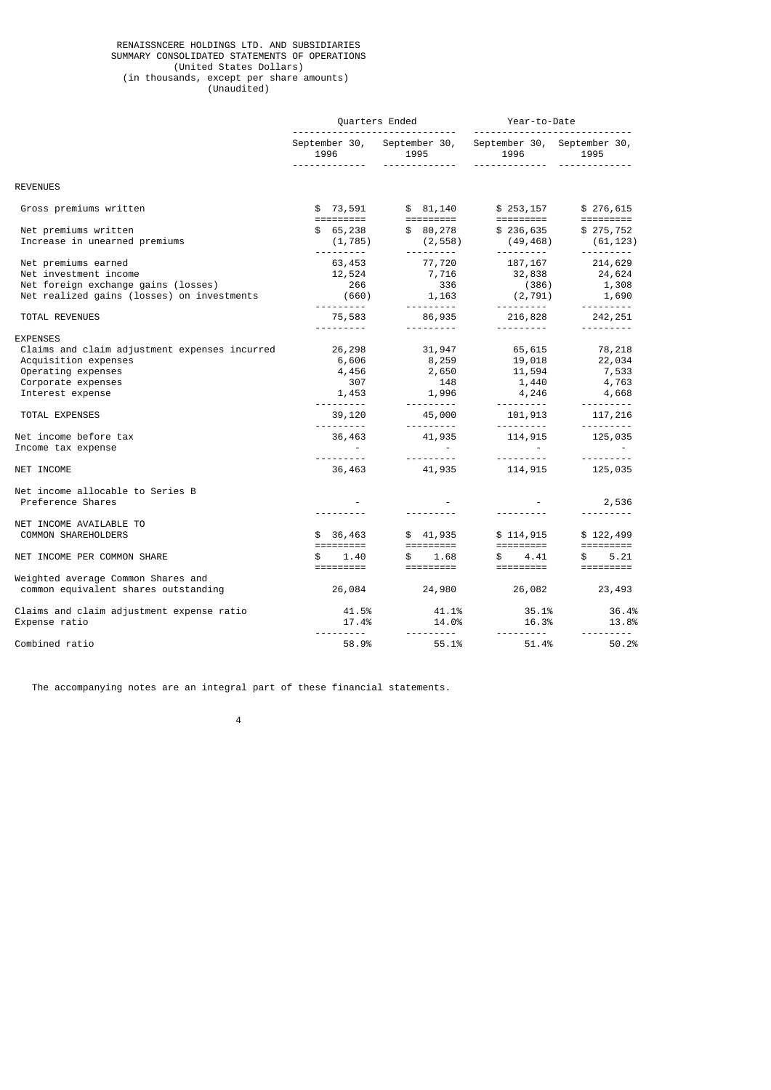#### RENAISSNCERE HOLDINGS LTD. AND SUBSIDIARIES SUMMARY CONSOLIDATED STATEMENTS OF OPERATIONS (United States Dollars) (in thousands, except per share amounts) (Unaudited)

|                                                                                                                                                                                                                                         | Quarters Ended |                                                                                                                                                                                         |  | Year-to-Date<br>                                                                                            |                                                                                                                                              |                                           |                  |                                                                                                                                             |
|-----------------------------------------------------------------------------------------------------------------------------------------------------------------------------------------------------------------------------------------|----------------|-----------------------------------------------------------------------------------------------------------------------------------------------------------------------------------------|--|-------------------------------------------------------------------------------------------------------------|----------------------------------------------------------------------------------------------------------------------------------------------|-------------------------------------------|------------------|---------------------------------------------------------------------------------------------------------------------------------------------|
|                                                                                                                                                                                                                                         | 1996           | .                                                                                                                                                                                       |  | 1995<br><u>.</u>                                                                                            | September 30, September 30, September 30, September 30,<br><u>.</u>                                                                          | 1996 1996                                 | 1995             |                                                                                                                                             |
| <b>REVENUES</b>                                                                                                                                                                                                                         |                |                                                                                                                                                                                         |  |                                                                                                             |                                                                                                                                              |                                           |                  |                                                                                                                                             |
| Gross premiums written                                                                                                                                                                                                                  |                |                                                                                                                                                                                         |  |                                                                                                             |                                                                                                                                              |                                           |                  | \$276,615                                                                                                                                   |
| Net premiums written<br>Increase in unearned premiums                                                                                                                                                                                   |                |                                                                                                                                                                                         |  |                                                                                                             | $$ 65,238$ $$ 80,278$ $$ 236,635$ $$ 275,752$<br>$(1,785)$ $(2,558)$ $(49,468)$ $(61,123)$                                                   |                                           |                  |                                                                                                                                             |
| Net premiums earned<br>Net investment income<br>Net foreign exchange gains (losses)<br>Net realized gains (losses) on investments                                                                                                       |                | 63,453<br>266                                                                                                                                                                           |  | 77,720<br>336<br>$(660)$ 1, 163                                                                             | 187,167<br>$12,524$ $7,716$ $32,838$ $24,624$                                                                                                | (386)                                     | $(2, 791)$ 1,690 | 214,629<br>1,308                                                                                                                            |
| TOTAL REVENUES                                                                                                                                                                                                                          |                | <u> - - - - - - - - - -</u>                                                                                                                                                             |  | ----------                                                                                                  | <b></b> .<br>$75,583$ $86,935$ $216,828$ $242,251$                                                                                           |                                           |                  | ---------                                                                                                                                   |
| <b>EXPENSES</b><br>Claims and claim adjustment expenses incurred<br>Acquisition expenses<br>Operating expenses<br>Corporate expenses<br>Interest expense<br>TOTAL EXPENSES<br>Net income before tax<br>Income tax expense<br>NET INCOME |                | 26,298<br>6,606<br>4,456<br>307<br>1,453<br><u> - - - - - - - - - - -</u><br>39,120<br><u> - - - - - - - - - - -</u><br>$\alpha$ , $\beta$ , $\alpha$ , $\beta$<br><u>.</u> .<br>36,463 |  | 31,947<br>8,259<br>2,650<br>148<br>1,996<br>. <b>.</b><br>$\mathcal{L}^{\text{max}}_{\text{max}}$<br>41,935 | $19,018$<br>$11,594$<br>$1,440$<br>4,246<br>45,000 101,913 117,216<br>---------  --------  --------<br>$36,463$ $41,935$ $114,915$ $125,035$ | 65,615<br>and the state of the<br>114,915 | $4,246$ $4,668$  | 78, 218<br>22, 034<br>7, 533<br>4, 763<br>$\mathcal{L}_{\text{max}}$ and $\mathcal{L}_{\text{max}}$<br><u> - - - - - - - - -</u><br>125,035 |
| Net income allocable to Series B<br>Preference Shares                                                                                                                                                                                   |                |                                                                                                                                                                                         |  |                                                                                                             |                                                                                                                                              |                                           | $-2,536$         | <u> - - - - - - - - -</u>                                                                                                                   |
| NET INCOME AVAILABLE TO<br><b>COMMON SHAREHOLDERS</b>                                                                                                                                                                                   |                |                                                                                                                                                                                         |  |                                                                                                             | $$36,463$<br>$$41,935$<br>$$114,915$<br>$$114,915$<br>$$114,915$                                                                             |                                           |                  | \$122,499                                                                                                                                   |
| NET INCOME PER COMMON SHARE                                                                                                                                                                                                             |                |                                                                                                                                                                                         |  |                                                                                                             | $$$ $1.40$ $$$ $1.68$ $$$ $4.41$ $$$ $5.21$<br>$1.40$ $1.68$ $1.63$ $1.41$ $1.41$ $1.41$                                                     |                                           |                  |                                                                                                                                             |
| Weighted average Common Shares and<br>common equivalent shares outstanding                                                                                                                                                              |                |                                                                                                                                                                                         |  | 26,084 24,980                                                                                               |                                                                                                                                              |                                           | 26,082           | 23,493                                                                                                                                      |
| Claims and claim adjustment expense ratio<br>Expense ratio                                                                                                                                                                              |                | 41.5%<br>17.4%                                                                                                                                                                          |  | 41.1%<br>14.0%                                                                                              |                                                                                                                                              | 35.1%<br>16.3%                            |                  | 36.4%<br>13.8%                                                                                                                              |
| Combined ratio                                                                                                                                                                                                                          |                | 58.9%                                                                                                                                                                                   |  | 55.1%                                                                                                       |                                                                                                                                              | 51.4%                                     |                  | <u>.</u><br>50.2%                                                                                                                           |

The accompanying notes are an integral part of these financial statements.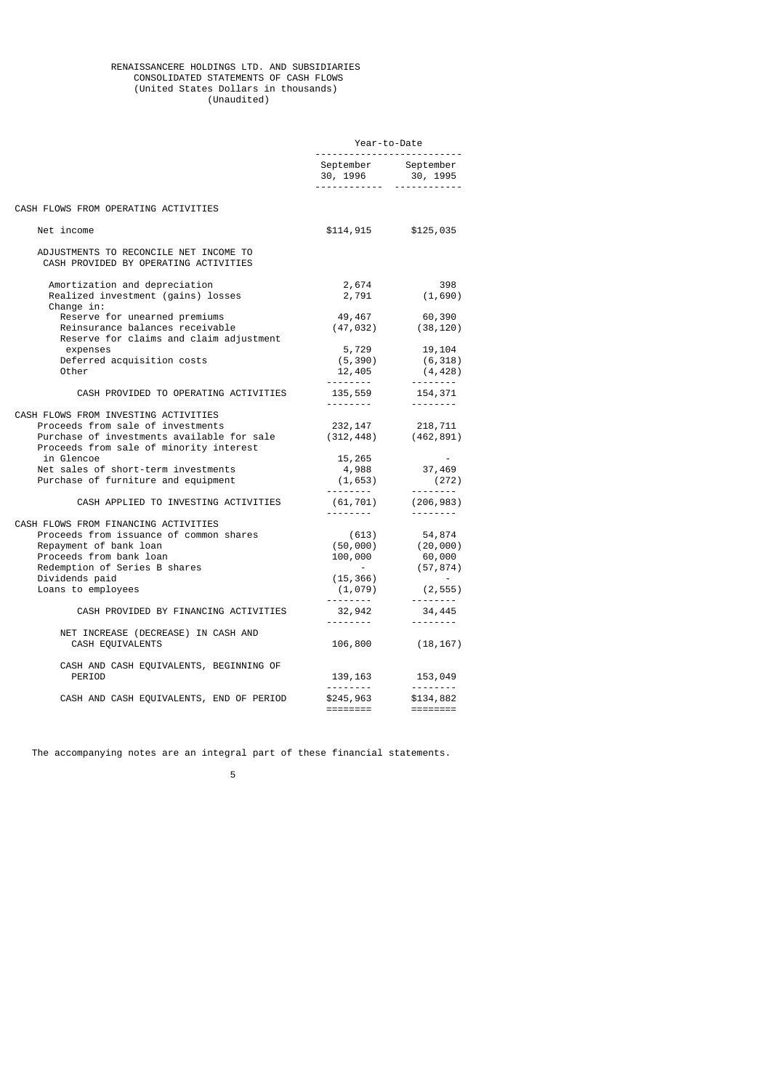#### RENAISSANCERE HOLDINGS LTD. AND SUBSIDIARIES CONSOLIDATED STATEMENTS OF CASH FLOWS (United States Dollars in thousands) (Unaudited)

|                                                                                                                                                                                                                                                                | Year-to-Date                                                               |                                                                                               |
|----------------------------------------------------------------------------------------------------------------------------------------------------------------------------------------------------------------------------------------------------------------|----------------------------------------------------------------------------|-----------------------------------------------------------------------------------------------|
|                                                                                                                                                                                                                                                                | September September                                                        |                                                                                               |
| CASH FLOWS FROM OPERATING ACTIVITIES                                                                                                                                                                                                                           |                                                                            |                                                                                               |
| Net income                                                                                                                                                                                                                                                     |                                                                            | $$114, 915$ $$125, 035$                                                                       |
| ADJUSTMENTS TO RECONCILE NET INCOME TO<br>CASH PROVIDED BY OPERATING ACTIVITIES                                                                                                                                                                                |                                                                            |                                                                                               |
| Amortization and depreciation<br>Realized investment (gains) losses<br>Change $in:$                                                                                                                                                                            | 2,674                                                                      | 398<br>$2,791$ (1,690)                                                                        |
| Reserve for unearned premiums<br>Reinsurance balances receivable<br>Reserve for claims and claim adjustment                                                                                                                                                    | 49,467<br>(47, 032)                                                        | 60,390<br>(38, 120)                                                                           |
| expenses<br>Deferred acquisition costs<br>Other                                                                                                                                                                                                                | 5,729<br>(5, 390)<br>12,405                                                | 19,104<br>(6, 318)<br>(4, 428)                                                                |
| CASH PROVIDED TO OPERATING ACTIVITIES                                                                                                                                                                                                                          | 135,559<br><u>.</u>                                                        | .<br>154,371<br><u> - - - - - - - -</u>                                                       |
| CASH FLOWS FROM INVESTING ACTIVITIES<br>Proceeds from sale of investments<br>Purchase of investments available for sale<br>Proceeds from sale of minority interest<br>in Glencoe<br>Net sales of short-term investments<br>Purchase of furniture and equipment | 232, 147<br>(312, 448)<br>15,265<br>$4,988$<br>(1,653)                     | 218,711<br>(462,891)<br>37,469<br>(272)                                                       |
| CASH APPLIED TO INVESTING ACTIVITIES                                                                                                                                                                                                                           | <u> - - - - - - - - -</u>                                                  | $(61, 701)$ $(206, 983)$                                                                      |
| CASH FLOWS FROM FINANCING ACTIVITIES<br>Proceeds from issuance of common shares<br>Repayment of bank loan<br>Proceeds from bank loan<br>Redemption of Series B shares<br>Dividends paid<br>Loans to employees                                                  | --------- <b>-</b><br>(613)<br>(50,000)<br>100,000<br>(15, 366)<br>(1,079) | --------<br>54,874<br>(20, 000)<br>60,000<br>(57, 874)<br>(2, 555)<br><u> - - - - - - - -</u> |
| CASH PROVIDED BY FINANCING ACTIVITIES                                                                                                                                                                                                                          | <u> - - - - - - - - -</u><br>32,942<br>---------                           | 34,445<br><u> - - - - - - - -</u>                                                             |
| NET INCREASE (DECREASE) IN CASH AND<br>CASH EQUIVALENTS                                                                                                                                                                                                        | 106,800                                                                    | (18, 167)                                                                                     |
| CASH AND CASH EQUIVALENTS, BEGINNING OF<br>PERIOD                                                                                                                                                                                                              | 139,163                                                                    | 153,049                                                                                       |
| CASH AND CASH EQUIVALENTS, END OF PERIOD                                                                                                                                                                                                                       | \$245,963<br>========                                                      | <u> - - - - - - - -</u><br>\$134,882                                                          |

The accompanying notes are an integral part of these financial statements.

 $\sim$  5  $\sim$  5  $\sim$  5  $\sim$  5  $\sim$  5  $\sim$  5  $\sim$  5  $\sim$  5  $\sim$  5  $\sim$  5  $\sim$  5  $\sim$  5  $\sim$  5  $\sim$  5  $\sim$  5  $\sim$  5  $\sim$  5  $\sim$  5  $\sim$  5  $\sim$  5  $\sim$  5  $\sim$  5  $\sim$  5  $\sim$  5  $\sim$  5  $\sim$  5  $\sim$  5  $\sim$  5  $\sim$  5  $\sim$  5  $\sim$  5  $\sim$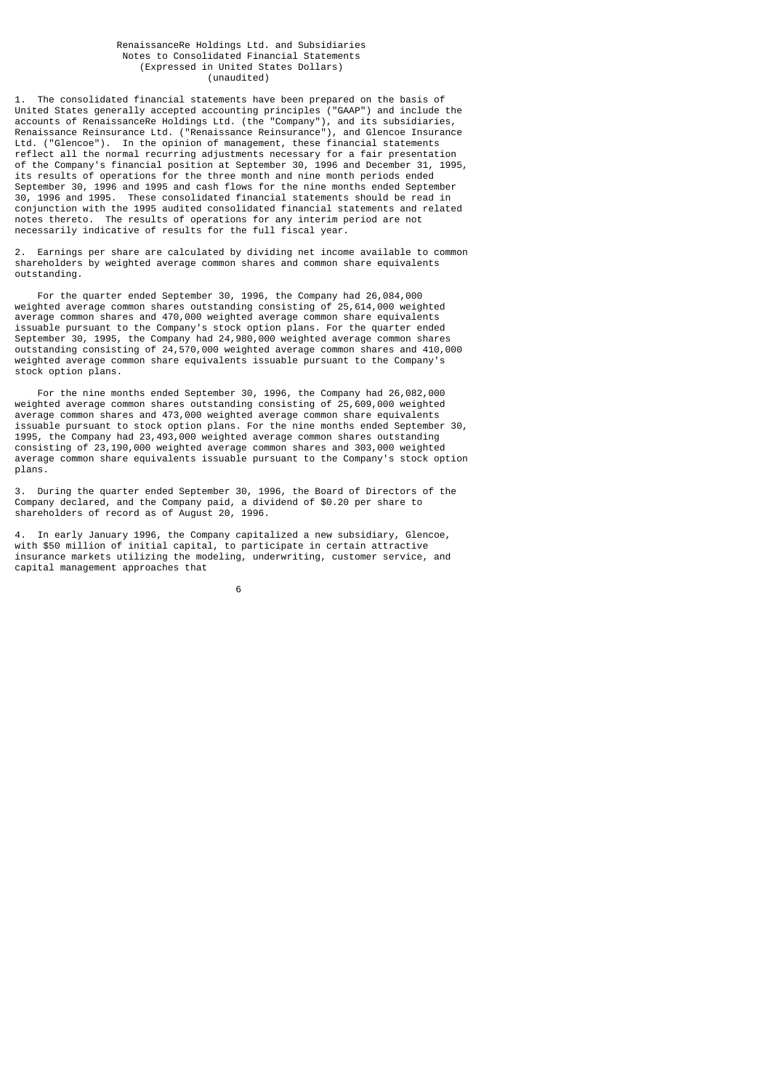#### RenaissanceRe Holdings Ltd. and Subsidiaries Notes to Consolidated Financial Statements (Expressed in United States Dollars) (unaudited)

1. The consolidated financial statements have been prepared on the basis of United States generally accepted accounting principles ("GAAP") and include the accounts of RenaissanceRe Holdings Ltd. (the "Company"), and its subsidiaries, Renaissance Reinsurance Ltd. ("Renaissance Reinsurance"), and Glencoe Insurance Ltd. ("Glencoe"). In the opinion of management, these financial statements reflect all the normal recurring adjustments necessary for a fair presentation of the Company's financial position at September 30, 1996 and December 31, 1995, its results of operations for the three month and nine month periods ended September 30, 1996 and 1995 and cash flows for the nine months ended September 30, 1996 and 1995. These consolidated financial statements should be read in conjunction with the 1995 audited consolidated financial statements and related notes thereto. The results of operations for any interim period are not necessarily indicative of results for the full fiscal year.

2. Earnings per share are calculated by dividing net income available to common shareholders by weighted average common shares and common share equivalents outstanding.

 For the quarter ended September 30, 1996, the Company had 26,084,000 weighted average common shares outstanding consisting of 25,614,000 weighted average common shares and 470,000 weighted average common share equivalents issuable pursuant to the Company's stock option plans. For the quarter ended September 30, 1995, the Company had 24,980,000 weighted average common shares outstanding consisting of 24,570,000 weighted average common shares and 410,000 weighted average common share equivalents issuable pursuant to the Company's stock option plans.

 For the nine months ended September 30, 1996, the Company had 26,082,000 weighted average common shares outstanding consisting of 25,609,000 weighted average common shares and 473,000 weighted average common share equivalents issuable pursuant to stock option plans. For the nine months ended September 30, 1995, the Company had 23,493,000 weighted average common shares outstanding consisting of 23,190,000 weighted average common shares and 303,000 weighted average common share equivalents issuable pursuant to the Company's stock option plans.

3. During the quarter ended September 30, 1996, the Board of Directors of the Company declared, and the Company paid, a dividend of \$0.20 per share to shareholders of record as of August 20, 1996.

4. In early January 1996, the Company capitalized a new subsidiary, Glencoe, with \$50 million of initial capital, to participate in certain attractive insurance markets utilizing the modeling, underwriting, customer service, and capital management approaches that

 $\sim$  6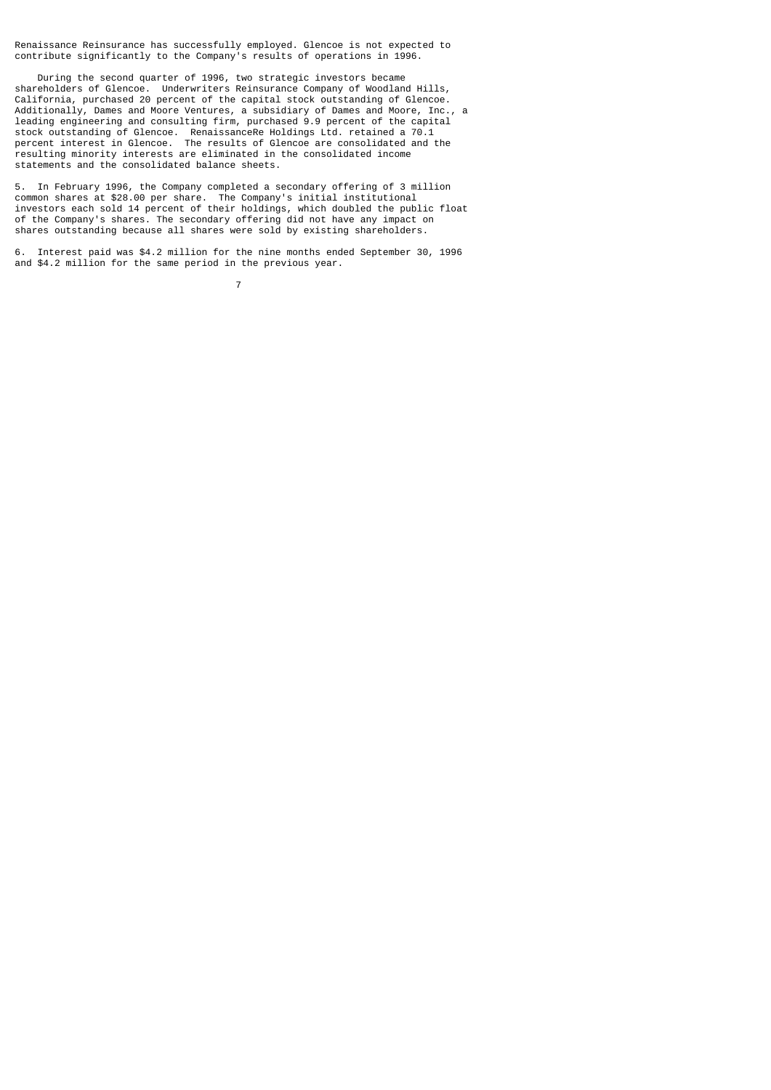Renaissance Reinsurance has successfully employed. Glencoe is not expected to contribute significantly to the Company's results of operations in 1996.

 During the second quarter of 1996, two strategic investors became shareholders of Glencoe. Underwriters Reinsurance Company of Woodland Hills, California, purchased 20 percent of the capital stock outstanding of Glencoe. Additionally, Dames and Moore Ventures, a subsidiary of Dames and Moore, Inc., a leading engineering and consulting firm, purchased 9.9 percent of the capital stock outstanding of Glencoe. RenaissanceRe Holdings Ltd. retained a 70.1 percent interest in Glencoe. The results of Glencoe are consolidated and the resulting minority interests are eliminated in the consolidated income statements and the consolidated balance sheets.

5. In February 1996, the Company completed a secondary offering of 3 million common shares at \$28.00 per share. The Company's initial institutional investors each sold 14 percent of their holdings, which doubled the public float of the Company's shares. The secondary offering did not have any impact on shares outstanding because all shares were sold by existing shareholders.

6. Interest paid was \$4.2 million for the nine months ended September 30, 1996 and \$4.2 million for the same period in the previous year.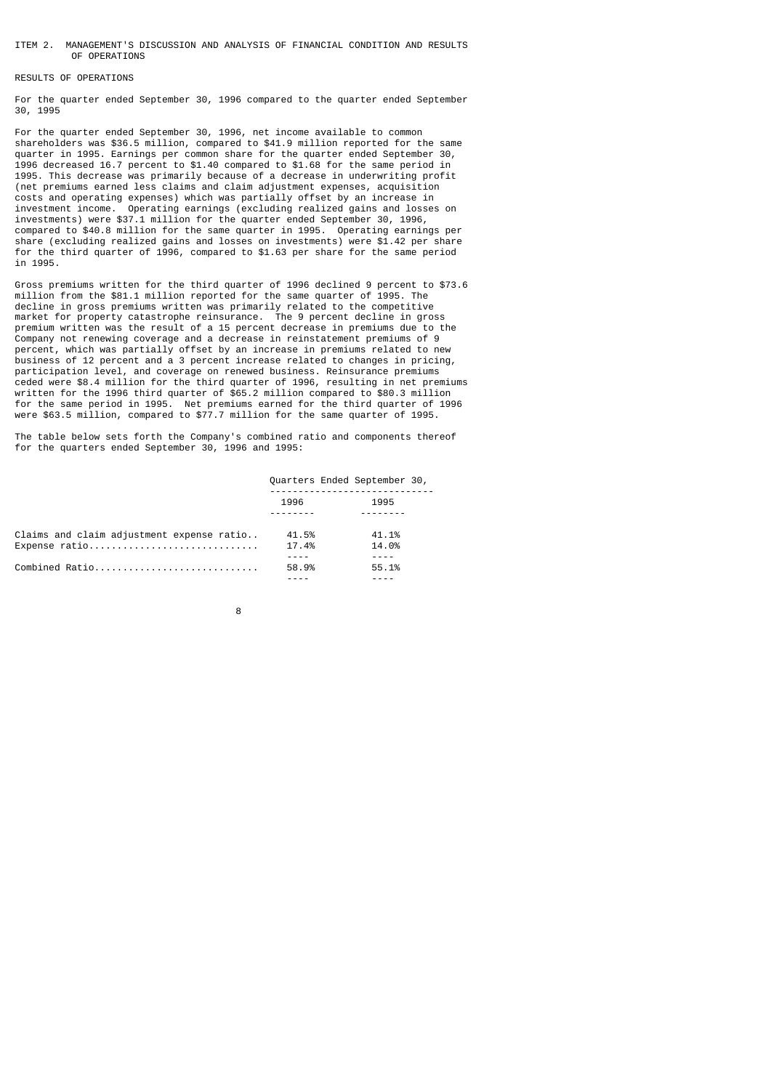#### ITEM 2. MANAGEMENT'S DISCUSSION AND ANALYSIS OF FINANCIAL CONDITION AND RESULTS OF OPERATIONS

### RESULTS OF OPERATIONS

For the quarter ended September 30, 1996 compared to the quarter ended September 30, 1995

For the quarter ended September 30, 1996, net income available to common shareholders was \$36.5 million, compared to \$41.9 million reported for the same quarter in 1995. Earnings per common share for the quarter ended September 30, 1996 decreased 16.7 percent to \$1.40 compared to \$1.68 for the same period in 1995. This decrease was primarily because of a decrease in underwriting profit (net premiums earned less claims and claim adjustment expenses, acquisition costs and operating expenses) which was partially offset by an increase in investment income. Operating earnings (excluding realized gains and losses on investments) were \$37.1 million for the quarter ended September 30, 1996, compared to \$40.8 million for the same quarter in 1995. Operating earnings per share (excluding realized gains and losses on investments) were \$1.42 per share for the third quarter of 1996, compared to \$1.63 per share for the same period in 1995.

Gross premiums written for the third quarter of 1996 declined 9 percent to \$73.6 million from the \$81.1 million reported for the same quarter of 1995. The decline in gross premiums written was primarily related to the competitive market for property catastrophe reinsurance. The 9 percent decline in gross premium written was the result of a 15 percent decrease in premiums due to the Company not renewing coverage and a decrease in reinstatement premiums of 9 percent, which was partially offset by an increase in premiums related to new business of 12 percent and a 3 percent increase related to changes in pricing, participation level, and coverage on renewed business. Reinsurance premiums ceded were \$8.4 million for the third quarter of 1996, resulting in net premiums written for the 1996 third quarter of \$65.2 million compared to \$80.3 million for the same period in 1995. Net premiums earned for the third quarter of 1996 were \$63.5 million, compared to \$77.7 million for the same quarter of 1995.

The table below sets forth the Company's combined ratio and components thereof for the quarters ended September 30, 1996 and 1995:

|                                                            | Quarters Ended September 30, |                |  |
|------------------------------------------------------------|------------------------------|----------------|--|
|                                                            | 1996                         | 1995           |  |
| Claims and claim adjustment expense ratio<br>Expense ratio | 41.5%<br>17.4%               | 41.1%<br>14.0% |  |
| Combined Ratio                                             | 58.9%                        | 55.1%          |  |

8 and 2012 and 2013 and 2014 and 2014 and 2014 and 2014 and 2014 and 2014 and 2014 and 2014 and 2014 and 2014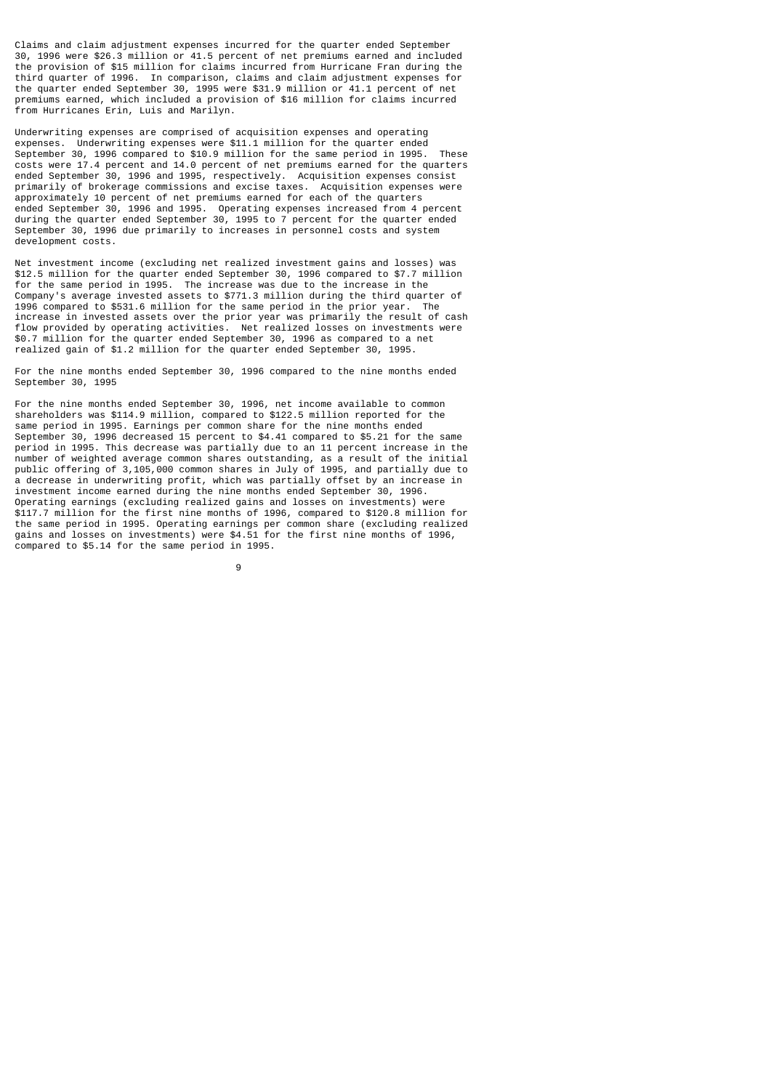Claims and claim adjustment expenses incurred for the quarter ended September 30, 1996 were \$26.3 million or 41.5 percent of net premiums earned and included the provision of \$15 million for claims incurred from Hurricane Fran during the third quarter of 1996. In comparison, claims and claim adjustment expenses for the quarter ended September 30, 1995 were \$31.9 million or 41.1 percent of net premiums earned, which included a provision of \$16 million for claims incurred from Hurricanes Erin, Luis and Marilyn.

Underwriting expenses are comprised of acquisition expenses and operating expenses. Underwriting expenses were \$11.1 million for the quarter ended September 30, 1996 compared to \$10.9 million for the same period in 1995. These costs were 17.4 percent and 14.0 percent of net premiums earned for the quarters ended September 30, 1996 and 1995, respectively. Acquisition expenses consist primarily of brokerage commissions and excise taxes. Acquisition expenses were approximately 10 percent of net premiums earned for each of the quarters ended September 30, 1996 and 1995. Operating expenses increased from 4 percent during the quarter ended September 30, 1995 to 7 percent for the quarter ended September 30, 1996 due primarily to increases in personnel costs and system development costs.

Net investment income (excluding net realized investment gains and losses) was \$12.5 million for the quarter ended September 30, 1996 compared to \$7.7 million for the same period in 1995. The increase was due to the increase in the Company's average invested assets to \$771.3 million during the third quarter of 1996 compared to \$531.6 million for the same period in the prior year. The increase in invested assets over the prior year was primarily the result of cash flow provided by operating activities. Net realized losses on investments were \$0.7 million for the quarter ended September 30, 1996 as compared to a net realized gain of \$1.2 million for the quarter ended September 30, 1995.

For the nine months ended September 30, 1996 compared to the nine months ended September 30, 1995

For the nine months ended September 30, 1996, net income available to common shareholders was \$114.9 million, compared to \$122.5 million reported for the same period in 1995. Earnings per common share for the nine months ended September 30, 1996 decreased 15 percent to \$4.41 compared to \$5.21 for the same period in 1995. This decrease was partially due to an 11 percent increase in the number of weighted average common shares outstanding, as a result of the initial public offering of 3,105,000 common shares in July of 1995, and partially due to a decrease in underwriting profit, which was partially offset by an increase in investment income earned during the nine months ended September 30, 1996. Operating earnings (excluding realized gains and losses on investments) were \$117.7 million for the first nine months of 1996, compared to \$120.8 million for the same period in 1995. Operating earnings per common share (excluding realized gains and losses on investments) were \$4.51 for the first nine months of 1996, compared to \$5.14 for the same period in 1995.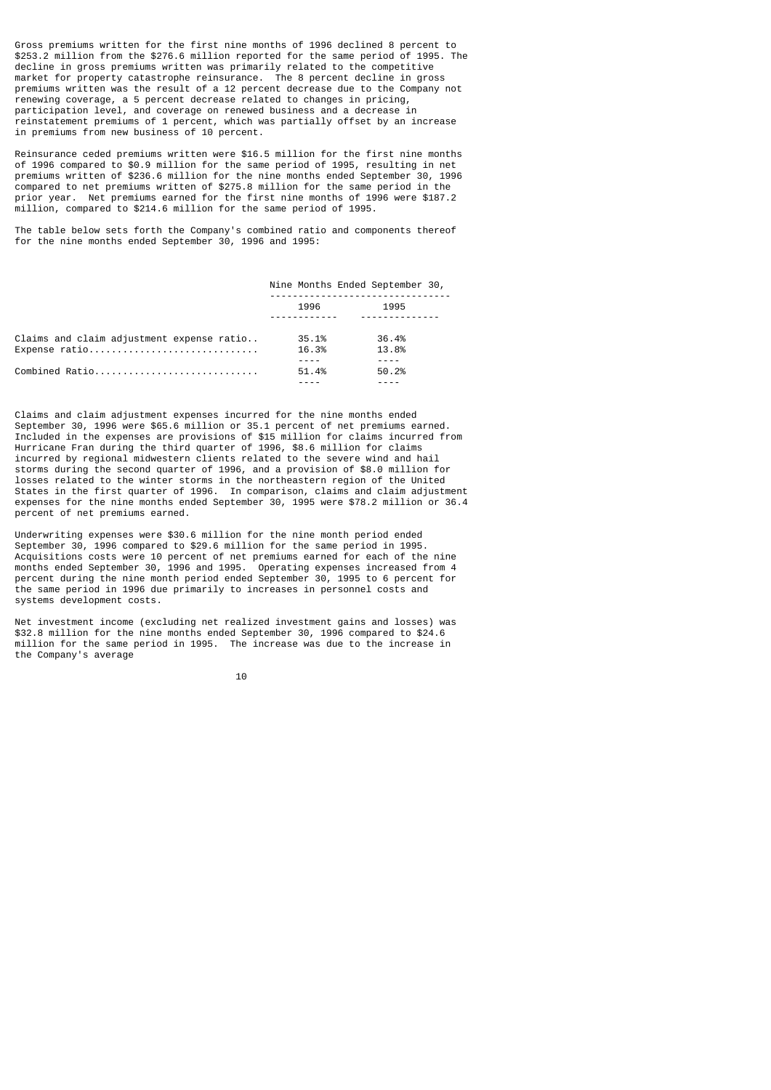Gross premiums written for the first nine months of 1996 declined 8 percent to \$253.2 million from the \$276.6 million reported for the same period of 1995. The decline in gross premiums written was primarily related to the competitive market for property catastrophe reinsurance. The 8 percent decline in gross premiums written was the result of a 12 percent decrease due to the Company not renewing coverage, a 5 percent decrease related to changes in pricing, participation level, and coverage on renewed business and a decrease in reinstatement premiums of 1 percent, which was partially offset by an increase in premiums from new business of 10 percent.

Reinsurance ceded premiums written were \$16.5 million for the first nine months of 1996 compared to \$0.9 million for the same period of 1995, resulting in net premiums written of \$236.6 million for the nine months ended September 30, 1996 compared to net premiums written of \$275.8 million for the same period in the prior year. Net premiums earned for the first nine months of 1996 were \$187.2 million, compared to \$214.6 million for the same period of 1995.

The table below sets forth the Company's combined ratio and components thereof for the nine months ended September 30, 1996 and 1995:

|                                           | Nine Months Ended September 30, |       |
|-------------------------------------------|---------------------------------|-------|
|                                           | 1996                            | 1995  |
|                                           |                                 |       |
| Claims and claim adjustment expense ratio | 35.1%                           | 36.4% |
| Expense ratio                             | 16.3%                           | 13.8% |
| Combined Ratio                            | 51.4%                           | 50.2% |
|                                           |                                 |       |

Claims and claim adjustment expenses incurred for the nine months ended September 30, 1996 were \$65.6 million or 35.1 percent of net premiums earned. Included in the expenses are provisions of \$15 million for claims incurred from Hurricane Fran during the third quarter of 1996, \$8.6 million for claims incurred by regional midwestern clients related to the severe wind and hail storms during the second quarter of 1996, and a provision of \$8.0 million for losses related to the winter storms in the northeastern region of the United States in the first quarter of 1996. In comparison, claims and claim adjustment expenses for the nine months ended September 30, 1995 were \$78.2 million or 36.4 percent of net premiums earned.

Underwriting expenses were \$30.6 million for the nine month period ended September 30, 1996 compared to \$29.6 million for the same period in 1995. Acquisitions costs were 10 percent of net premiums earned for each of the nine months ended September 30, 1996 and 1995. Operating expenses increased from 4 percent during the nine month period ended September 30, 1995 to 6 percent for the same period in 1996 due primarily to increases in personnel costs and systems development costs.

Net investment income (excluding net realized investment gains and losses) was \$32.8 million for the nine months ended September 30, 1996 compared to \$24.6 million for the same period in 1995. The increase was due to the increase in the Company's average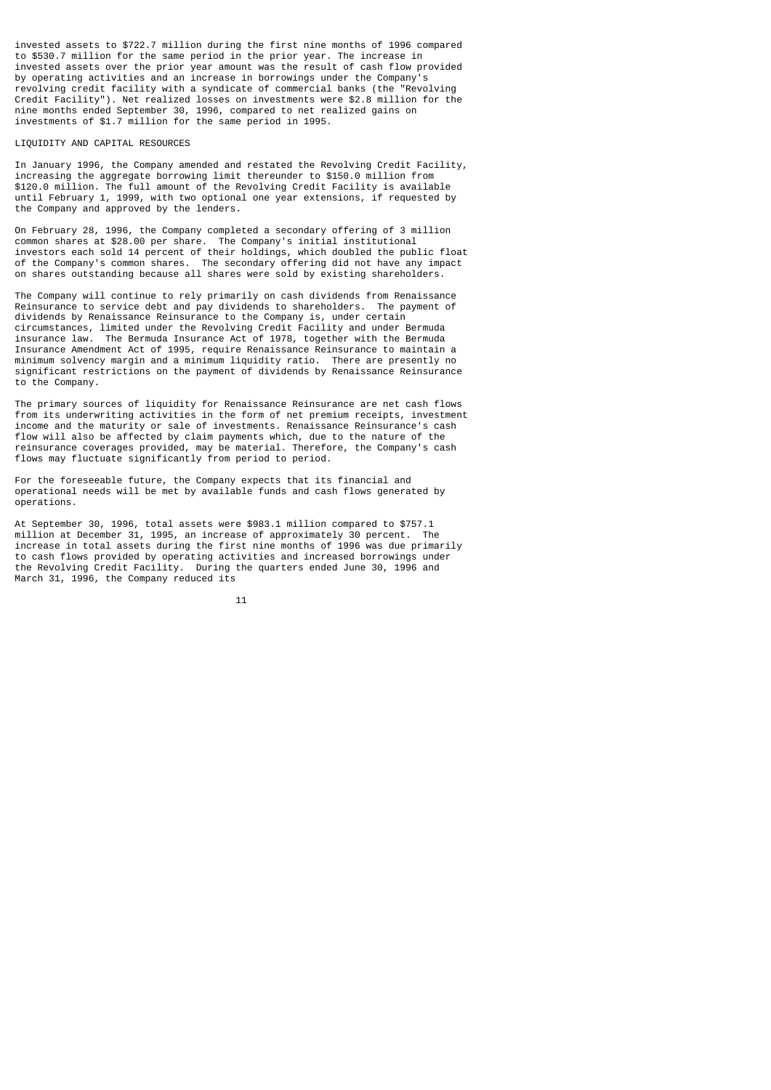invested assets to \$722.7 million during the first nine months of 1996 compared to \$530.7 million for the same period in the prior year. The increase in invested assets over the prior year amount was the result of cash flow provided by operating activities and an increase in borrowings under the Company's revolving credit facility with a syndicate of commercial banks (the "Revolving Credit Facility"). Net realized losses on investments were \$2.8 million for the nine months ended September 30, 1996, compared to net realized gains on investments of \$1.7 million for the same period in 1995.

#### LIQUIDITY AND CAPITAL RESOURCES

In January 1996, the Company amended and restated the Revolving Credit Facility, increasing the aggregate borrowing limit thereunder to \$150.0 million from \$120.0 million. The full amount of the Revolving Credit Facility is available until February 1, 1999, with two optional one year extensions, if requested by the Company and approved by the lenders.

On February 28, 1996, the Company completed a secondary offering of 3 million common shares at \$28.00 per share. The Company's initial institutional investors each sold 14 percent of their holdings, which doubled the public float of the Company's common shares. The secondary offering did not have any impact on shares outstanding because all shares were sold by existing shareholders.

The Company will continue to rely primarily on cash dividends from Renaissance Reinsurance to service debt and pay dividends to shareholders. The payment of dividends by Renaissance Reinsurance to the Company is, under certain circumstances, limited under the Revolving Credit Facility and under Bermuda insurance law. The Bermuda Insurance Act of 1978, together with the Bermuda Insurance Amendment Act of 1995, require Renaissance Reinsurance to maintain a minimum solvency margin and a minimum liquidity ratio. There are presently no significant restrictions on the payment of dividends by Renaissance Reinsurance to the Company.

The primary sources of liquidity for Renaissance Reinsurance are net cash flows from its underwriting activities in the form of net premium receipts, investment income and the maturity or sale of investments. Renaissance Reinsurance's cash flow will also be affected by claim payments which, due to the nature of the reinsurance coverages provided, may be material. Therefore, the Company's cash flows may fluctuate significantly from period to period.

For the foreseeable future, the Company expects that its financial and operational needs will be met by available funds and cash flows generated by operations.

At September 30, 1996, total assets were \$983.1 million compared to \$757.1 million at December 31, 1995, an increase of approximately 30 percent. The increase in total assets during the first nine months of 1996 was due primarily to cash flows provided by operating activities and increased borrowings under the Revolving Credit Facility. During the quarters ended June 30, 1996 and March 31, 1996, the Company reduced its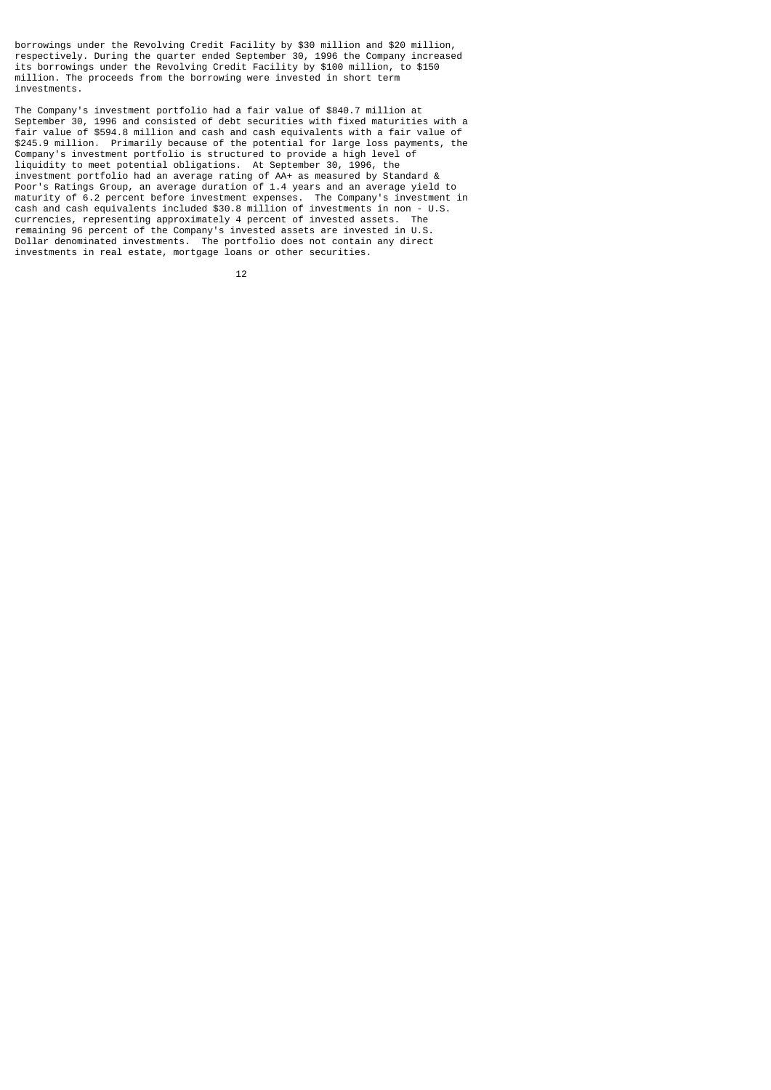borrowings under the Revolving Credit Facility by \$30 million and \$20 million, respectively. During the quarter ended September 30, 1996 the Company increased its borrowings under the Revolving Credit Facility by \$100 million, to \$150 million. The proceeds from the borrowing were invested in short term investments.

The Company's investment portfolio had a fair value of \$840.7 million at September 30, 1996 and consisted of debt securities with fixed maturities with a fair value of \$594.8 million and cash and cash equivalents with a fair value of \$245.9 million. Primarily because of the potential for large loss payments, the Company's investment portfolio is structured to provide a high level of liquidity to meet potential obligations. At September 30, 1996, the investment portfolio had an average rating of AA+ as measured by Standard & Poor's Ratings Group, an average duration of 1.4 years and an average yield to maturity of 6.2 percent before investment expenses. The Company's investment in cash and cash equivalents included \$30.8 million of investments in non - U.S. currencies, representing approximately 4 percent of invested assets. The remaining 96 percent of the Company's invested assets are invested in U.S. Dollar denominated investments. The portfolio does not contain any direct investments in real estate, mortgage loans or other securities.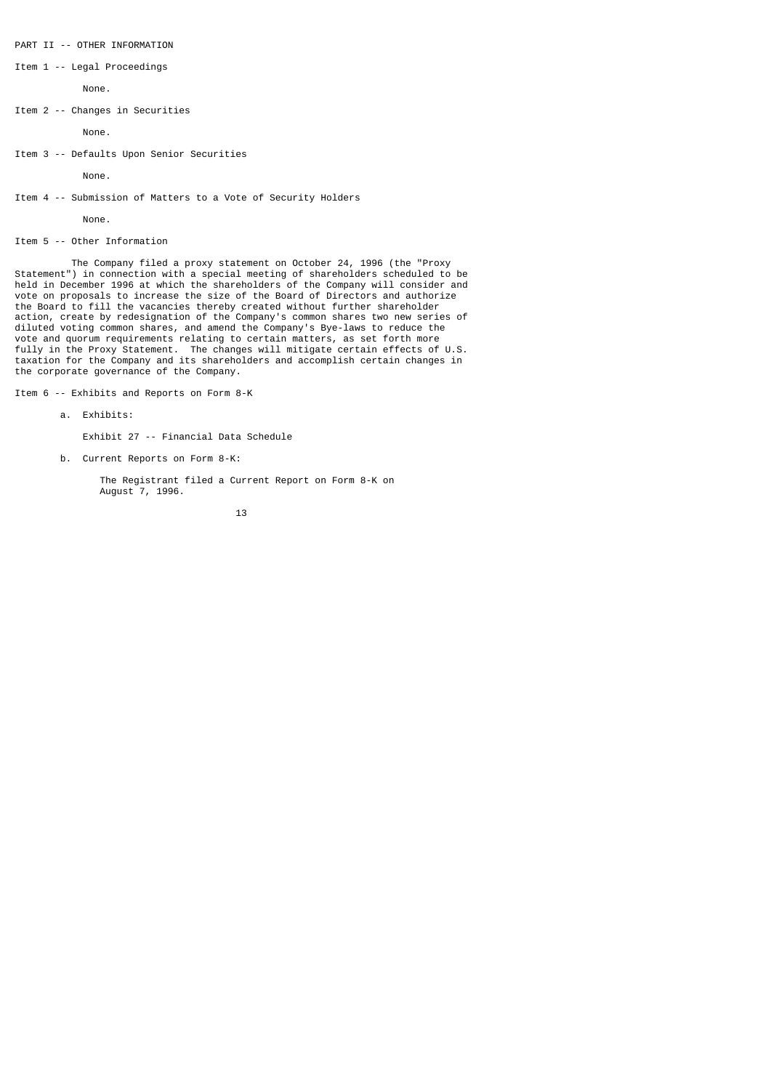Item 1 -- Legal Proceedings

None.

Item 2 -- Changes in Securities

None.

Item 3 -- Defaults Upon Senior Securities

None.

Item 4 -- Submission of Matters to a Vote of Security Holders

None.

Item 5 -- Other Information

 The Company filed a proxy statement on October 24, 1996 (the "Proxy Statement") in connection with a special meeting of shareholders scheduled to be held in December 1996 at which the shareholders of the Company will consider and vote on proposals to increase the size of the Board of Directors and authorize the Board to fill the vacancies thereby created without further shareholder action, create by redesignation of the Company's common shares two new series of diluted voting common shares, and amend the Company's Bye-laws to reduce the vote and quorum requirements relating to certain matters, as set forth more fully in the Proxy Statement. The changes will mitigate certain effects of U.S. taxation for the Company and its shareholders and accomplish certain changes in the corporate governance of the Company.

Item 6 -- Exhibits and Reports on Form 8-K

a. Exhibits:

Exhibit 27 -- Financial Data Schedule

b. Current Reports on Form 8-K:

 The Registrant filed a Current Report on Form 8-K on August 7, 1996.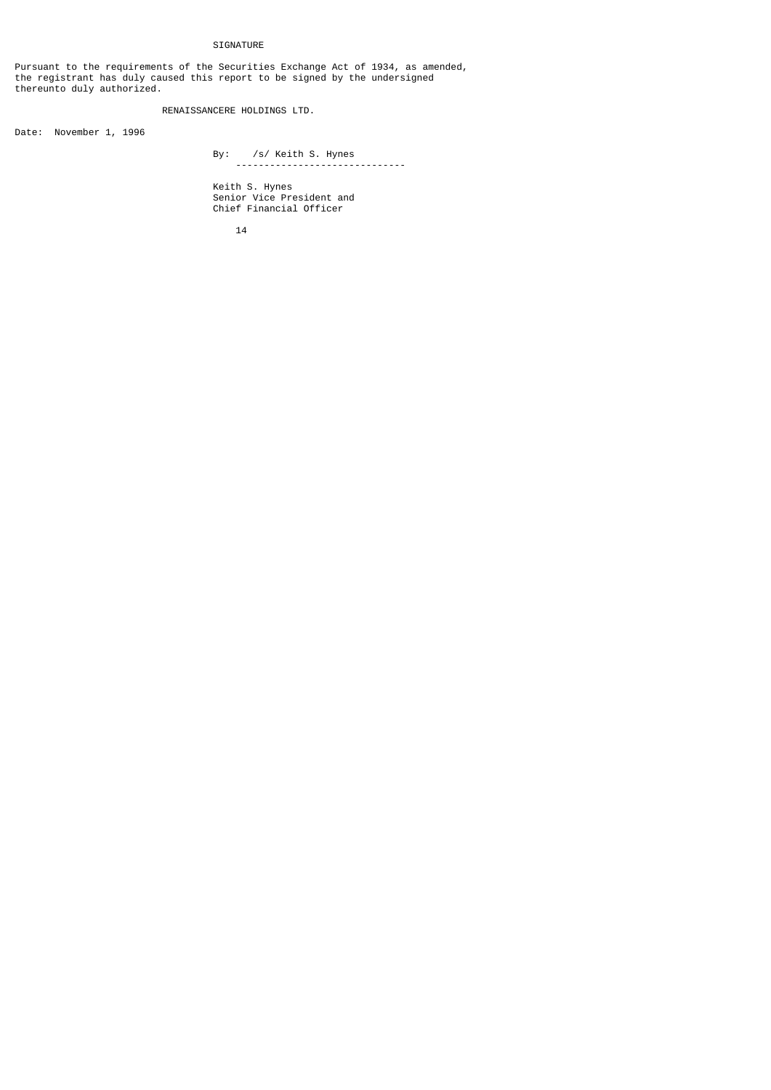## SIGNATURE

Pursuant to the requirements of the Securities Exchange Act of 1934, as amended, the registrant has duly caused this report to be signed by the undersigned thereunto duly authorized.

RENAISSANCERE HOLDINGS LTD.

Date: November 1, 1996

 By: /s/ Keith S. Hynes ------------------------------

 Keith S. Hynes Senior Vice President and Chief Financial Officer